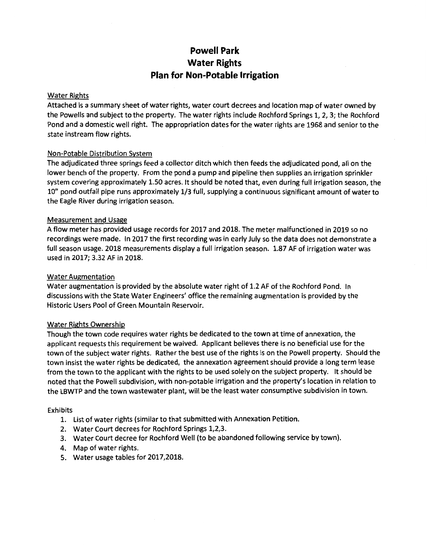# **Powell Park Water Rights Plan for Non-Potable Irrigation**

# Water Rights

Attached is a summary sheet of water rights, water court decrees and location map of water owned by the Powells and subject to the property. The water rights include Rochford Springs 1, 2, 3; the Rochford Pond and a domestic well right. The appropriation dates for the water rights are 1968 and senior to the state instream flow rights.

# Non-Potable Distribution System

The adjudicated three springs feed a collector ditch which then feeds the adjudicated pond, all on the lower bench of the property. From the pond a pump and pipeline then supplies an irrigation sprinkler system covering approximately 1.50 acres. It should be noted that, even during full irrigation season, the 10" pond outfall pipe runs approximately 1/3 full, supplying a continuous significant amount of water to the Eagle River during irrigation season.

# Measurement and Usage

A flow meter has provided usage records for 2017 and 2018. The meter malfunctioned in 2019 so no recordings were made. In 2017 the first recording was in early July so the data does not demonstrate a full season usage. 2018 measurements display a full irrigation season. 1.87 AF of irrigation water was used in 2017; 3.32 AF in 2018.

# Water Augmentation

Water augmentation is provided by the absolute water right of 1.2 AF of the Rochford Pond. In discussions with the State Water Engineers' office the remaining augmentation is provided by the Historic Users Pool of Green Mountain Reservoir.

# Water Rights Ownership

Though the town code requires water rights be dedicated to the town at time of annexation, the applicant requests this requirement be waived. Applicant believes there is no beneficial use for the town of the subject water rights. Rather the best use of the rights is on the Powell property. Should the town insist the water rights be dedicated, the annexation agreement should provide a long term lease from the town to the applicant with the rights to be used solely on the subject property. It should be noted that the Powell subdivision, with non-potable irrigation and the property's location in relation to the LBWTP and the town wastewater plant, will be the least water consumptive subdivision in town.

# Exhibits

- 1. list of water rights (similar to that submitted with Annexation Petition.
- 2. Water Court decrees for Rochford Springs 1,2,3.
- 3. Water Court decree for Rochford Well (to be abandoned following service by town).
- 4. Map of water rights.
- 5. Water usage tables for 2017,2018.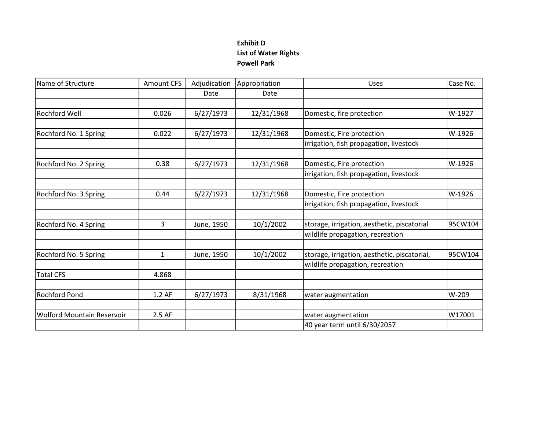# **Exhibit D List of Water Rights Powell Park**

| Name of Structure                 | <b>Amount CFS</b> | Adjudication | Appropriation | Uses                                         | Case No. |
|-----------------------------------|-------------------|--------------|---------------|----------------------------------------------|----------|
|                                   |                   | Date         | Date          |                                              |          |
|                                   |                   |              |               |                                              |          |
| Rochford Well                     | 0.026             | 6/27/1973    | 12/31/1968    | Domestic, fire protection                    | W-1927   |
|                                   |                   |              |               |                                              |          |
| Rochford No. 1 Spring             | 0.022             | 6/27/1973    | 12/31/1968    | Domestic, Fire protection                    | W-1926   |
|                                   |                   |              |               | irrigation, fish propagation, livestock      |          |
| Rochford No. 2 Spring             | 0.38              | 6/27/1973    | 12/31/1968    | Domestic, Fire protection                    | W-1926   |
|                                   |                   |              |               | irrigation, fish propagation, livestock      |          |
|                                   |                   |              |               |                                              |          |
| Rochford No. 3 Spring             | 0.44              | 6/27/1973    | 12/31/1968    | Domestic, Fire protection                    | W-1926   |
|                                   |                   |              |               | irrigation, fish propagation, livestock      |          |
|                                   |                   |              |               |                                              |          |
| Rochford No. 4 Spring             | 3                 | June, 1950   | 10/1/2002     | storage, irrigation, aesthetic, piscatorial  | 95CW104  |
|                                   |                   |              |               | wildlife propagation, recreation             |          |
| Rochford No. 5 Spring             | 1                 | June, 1950   | 10/1/2002     | storage, irrigation, aesthetic, piscatorial, | 95CW104  |
|                                   |                   |              |               | wildlife propagation, recreation             |          |
| <b>Total CFS</b>                  | 4.868             |              |               |                                              |          |
|                                   |                   |              |               |                                              |          |
| <b>Rochford Pond</b>              | 1.2 AF            | 6/27/1973    | 8/31/1968     | water augmentation                           | W-209    |
|                                   |                   |              |               |                                              |          |
| <b>Wolford Mountain Reservoir</b> | 2.5 AF            |              |               | water augmentation                           | W17001   |
|                                   |                   |              |               | 40 year term until 6/30/2057                 |          |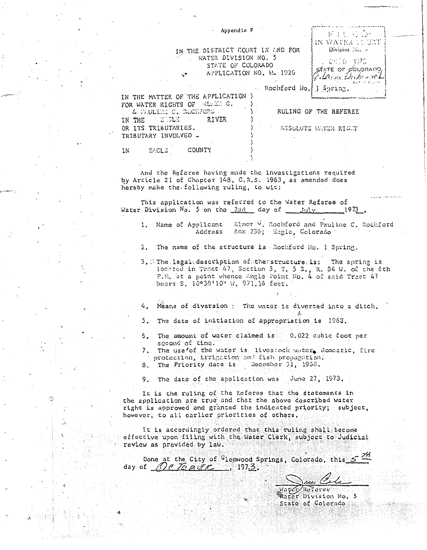|  |  | Appendix F |  |
|--|--|------------|--|
|--|--|------------|--|

| IN THE DISTRICT COURT IN AND FOR      |  |
|---------------------------------------|--|
| WATER DIVISION NO. 5<br>$\leq \ldots$ |  |
| STATE OF COLORADO                     |  |
| APPLICATION NO. N. 1926<br>$\cdot$ .  |  |

| 1926 | EXATE OF GOLORADO<br>{{{Lacine electronica} |
|------|---------------------------------------------|
|      | Wet of Count                                |
|      | hford Ho 11 Suring                          |

ドイモ こう IN WATER COURT Division No. 5 0070 1970

Rochford

FOR WATER RIGHTS OF ELECTIC. & WAULTHE C. RUCWFORD RULING OF THE REFEREE STOLE RIVER IN THE OR ITS TRIBUTARIES. ABSOLUTE WATER RIGHT TRIBUTARY INVOLVED -

**SAGLE** COUNTY ΙN

IN THE MATTER OF THE APPLICATION )

And the Referee having made the investigations required by Article 21 of Chapter 148, C.R.S. 1963, as amended does hereby make the following ruling, to wit:

This application was referred to the Water Referee of Water Division No. 5 on the  $2nd$  day of  $j$ uly 1973.

- Elmer ". Rochford and Pauline C. Rochford 1. Name of Applicant Address Box 236; Engle, Colorado
- $2.$ The name of the structure is Rockford No. 1 Spring.
- 3. Which legal description of the structure is: The spring is located in Tract 47, Section 5, T. 5 S., R. 34 W. of the 6th P.N. at a point whence Angle Point No. 4 of said Tract 47 bears S. 10°38'10" W. 971.16 feet.
- 4. Means of diversion : The water is diverted into a ditch.
- 5. The date of initiation of appropriation is 1968.
- 6. The amount of water claimed is 0.022 cubic foot per second of time.
- 7. The use of the water is livestock water, domestic, fire protection, irrigation and fish propagation.
- 8. The Priority date is December 31, 1968.

9. The date of the application was June 27, 1973.

It is the ruling of the Referee that the statements in the application are true and that the above described water right is approved and granted the indicated priority; subject, however, to all carlier priorities of others.

It is accordingly ordered that this ruling shall become effective upon filing with the Water Clerk, subject to Judicial review as provided by law.

Done at the City of <sup>G</sup>lenwood Springs, Colorado, this 5 day of  $NeTeBER$ , 1973.</u>

> Vapor Referee Water Division No. 5 State of Colorado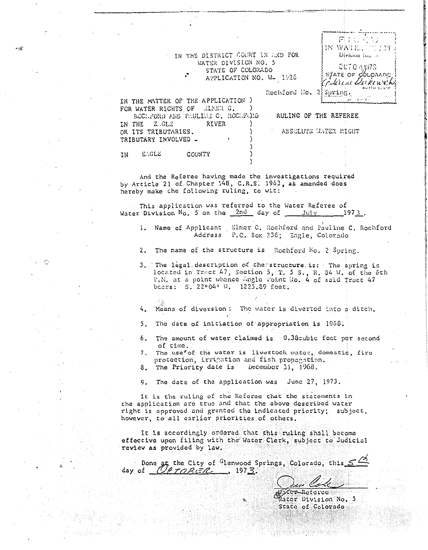IN THE DISTRICT COURT IN AND FOR WATER DIVISION NO. 5 STATE OF COLORADO APPLICATION NO. W- 1926

Rochford Ho. 2.

IN THE MATTER OF THE APPLICATION ) FOR WATER RIGHTS OF ELMER G. RCCHFORD AND PRULING C. ROCHFORD

**RIVER** 

RULING OF THE REFEREE ABSOLUTE LATER RIGHT

use ingerance 同にいてつ

Division Ism.,

007041973

STATE OF COLORANC

Eliano Dukowa k

IN WATER

Spring.

op darp

IN ENGLE COUNTY

IN THE E.GLE

OR ITS TRIBUTARIES. TRIBUTARY INVOLVED -

asik

And the Referee having made the investigations required<br>by Article 21 of Chapter 148, C.R.S. 1963, as amended does hereby make the following ruling, to wit:

This application was referred to the Water Referee of Water Division No. 5 on the 2nd day of July 1973.

- 1. Name of Applicant | Elmer G. Rochford and Pauline C. Rochford Address P.C. Box 236; Eagle, Colorado
- $\mathfrak{p}$ The name of the structure is Rochford No. 2 Spring.
- 3. The legal description of the structure is: The spring is located in Tract 47, Section 5, T. 5 S., R. 34 W. of the 6th P.M. at a point whence Angle Foint No. 4 of said Tract 47 bears: S, 22°04' W. 1225.89 feet.

4. Means of diversion: The water is diverted into a ditch.

- 5. The date of initiation of appropriation is 1968.
- 6. The amount of water claimed is 0.38cubic foot per second of time.
- The use<sup>\*</sup> of the water is livestock water, domestic, fire  $7.$ protection, irrigation and fish propagation.
- 8. The Priority date is December 31, 1968.

9. The date of the application was June 27, 1973.

It is the ruling of the Referee that the statements in the application are true and that the above described water right is approved and granted the indicated priority; subject, however, to all carlier priorities of others.

It is accordingly ordered that this ruling shall become effective upon filing with the Water Clerk, subject to Judicial review as provided by law.

Done gr the City of Glenwood Springs, Colorado, this 52 day of  $Q\rho_{TORER}$ , 1973.

Roferee Water Division No. 5 State of Colorado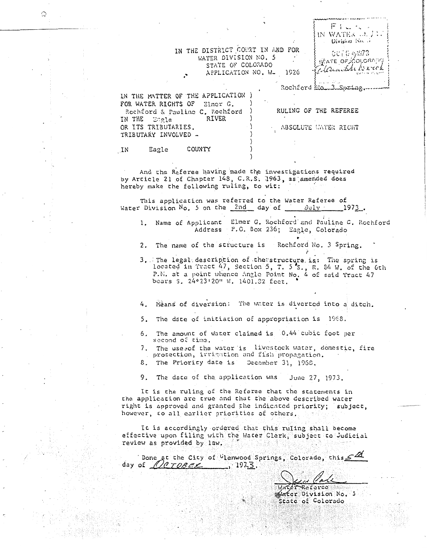IN THE DISTRICT COURT IN AND FOR WATER DIVISION NO. 5 STATE OF COLORADO APPLICATION NO. W- 1926

| IN THE MATTER OF THE APPLICATION ) |                       |  |
|------------------------------------|-----------------------|--|
| FOR WATER RIGHTS OF Elmer G.       |                       |  |
|                                    |                       |  |
| Rochford & Pauline C. Rochford     | RULING OF THE REFEREE |  |
| RIVER<br>IN THE Eagle              |                       |  |
| OR ITS TRIBUTARIES.                | ABSOLUTE WATER RIGHT  |  |
| TRIBUTARY INVOLVED -               |                       |  |
|                                    |                       |  |

 $F: \mathbb{R}^n$ IN WATER OF JU Division Ko. ..

007041973

STATE OF COLORADO

Elementh Krick

Rochford Ha 3 Spring

Eagle COUNTY . IN

And the Referee having made the investigations required by Article 21 of Chapter 148, C.R.S. 1963, as amended does hereby make the following ruling, to wit:

This application was referred to the Water Referee of Water Division No. 5 on the 2nd day of July . 1973.

- 1. Name of Applicant Elmer G. Rochford and Pauline C. Rochford Address P.C. Box 236; Eagle, Colorado
- Rochford No. 3 Spring. The name of the structure is  $2<sup>1</sup>$
- 3. The legal description of the structure is: The spring is located in Tract 47, Section 5, T. 5'S., R. 84 W. of the 6th P.N. at a point whence Angle Point No. 4 of said Tract 47 bears S. 24°23'20" W. 1401.32 feet.
- 4. Weans of diversion: The water is diverted into a ditch.
- 5. The date of initiation of appropriation is 1968.
- 6. The amount of water claimed is 0.44 cubic foot per second of time.
- 7. The use sof the water is livestock water, domestic, fire protection, irrigation and fish propagation.
- December 31, 1968. 8. The Priority date is

9. The date of the application was June 27, 1973.

It is the ruling of the Referee that the statements in the application are true and that the above described water right is approved and granted the indicated priority; subject, however, to all earlier priorities of others.

It is accordingly ordered that this ruling shall become effective upon filing with the Water Clerk, subject to Judicial review as provided by law.

|                   | Done at the City of Glenwood Springs, Colorado, this |  |
|-------------------|------------------------------------------------------|--|
| day of $N$ CTOBEK | $\frac{2}{1}$ 1973.                                  |  |

Water Referee ater Division No. 5 State of Colorado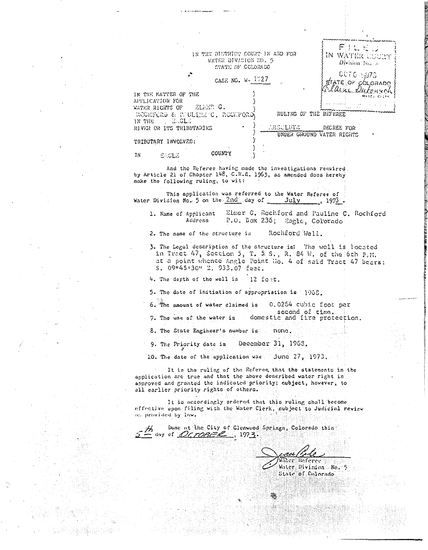IN THE DISTRICT COURT IN AND FOR WATER DIVISION NO. 5 STATE OF COLORADO

 $F1LE$ IN WATER COURT Division No. 5  $0070 \div 1973$ FATE OF COLORADO Whomsol

CASE NO. W- 1527

APPLICATION FOR ELMER G. WATER RIGHTS OF ROCKFORD & PUDLINE'C, ROCHFORD IN THE  $\mathbb{E}$  .gr. RIVER OR ITS TRIBUTARIES

RULING OF THE REFEREE

ABSCLUTE DECREE FOR UNDER GROUND WATER RIGHTS

#### TRIBUTARY INVOLVED:

IN THE MATTER OF THE

COUNTY **TN** EAGLE

And the Referee having made the investigations required by Article 21 of Chapter 148, C.R.S. 1963, as amended does hereby make the following ruling, to wit:

This application was referred to the Water Referce of Water Division No. 5 on the 2nd day of July , 1973.

Elmer G. Rochford and Pauline C. Rochford 1. Name of Applicant Address P.O. Box 236; Eagle, Colorado

Rochford Well. 2. The name of the structure is

3. The Logal description of the structure is: The well is located in Tract 47, Section 5, T. 5 S., R. 84 W. of the 6th P.M.<br>at a point whence Angle Point No. 4 of said Tract 47 bears: S. 09°45'30" 2. 933.07 feet.

4. The depth of the well is 12 fent.

5. The date of initiation of appropriation is 1968.

0.0264 cubic foot per 6. The amount of water claimed is

second of time.<br>domestic and fire protection. 7. The use of the water is

8. The State Engineer's number is none.

December 31, 1968. 9. The Priority date is

10. The date of the application was June 27, 1973.

It is the ruling of the Referee that the statements in the application are true and that the above described water right is approved and granted the indicated priority; subject, however, to all earlier priority rights of others.

It is accordingly ordered that this ruling shall become effective upon filing with the Water Clerk, cubject to Judicial review an provided by law.

Done at the City of Glenwood Springs, Colorado this day of OCTOBER, 1973.

Referee Water Divinion No. 5 State of Colorado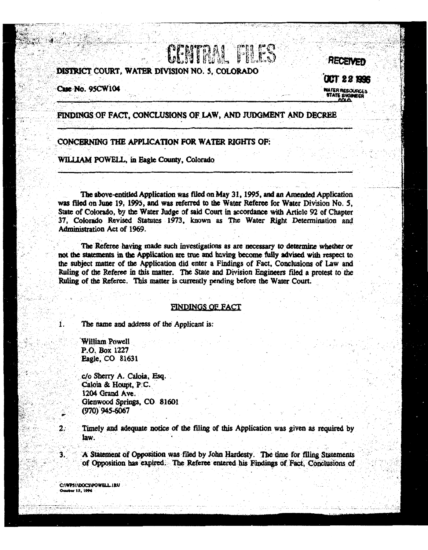# DISTRICT COURT. WATER DIVISION NO. 5. COLORADO

Case No. 95CW104

**CCT 22 1996 WATER RESOURCES ATATE CIVE** 

**RECEIVED** 

# FINDINGS OF FACT, CONCLUSIONS OF LAW, AND JUDGMENT AND DECREE

**CENTRAL PILICS** 

# CONCERNING THE APPLICATION FOR WATER RIGHTS OF:

WILLIAM POWELL, in Eagle County, Colorado

The above-entitled Application was filed on May 31, 1995, and an Amended Application was filed on June 19, 1995, and was referred to the Water Referee for Water Division No. 5, State of Colorado, by the Water Judge of said Court in accordance with Article 92 of Chapter 37. Colorado Revised Statutes 1973, known as The Water Right Determination and Administration Act of 1969.

The Referee having made such investigations as are necessary to determine whether or not the statements in the Application are true and having become fully advised with respect to the subject matter of the Application did enter a Findings of Fact, Conclusions of Law and Ruling of the Referee in this matter. The State and Division Engineers filed a protest to the Ruling of the Referee. This matter is currently pending before the Water Court.

### FINDINGS OF FACT

The name and address of the Applicant is:

**William Powell** P.O. Box 1227 Eagle, CO 81631

1.

2.

3.

c/o Sherry A. Caloia, Esq. Caloia & Houpt, P.C. 1204 Grand Ave. Gienwood Springs, CO 81601  $(970)$  945-6067

Timely and adequate notice of the filing of this Application was given as required by law.

A Statement of Opposition was filed by John Hardesty. The time for filing Statements of Opposition has expired. The Referee entered his Findings of Fact, Conclusions of

C:\WP51\DOCS\POWELL.IRU - 15. 100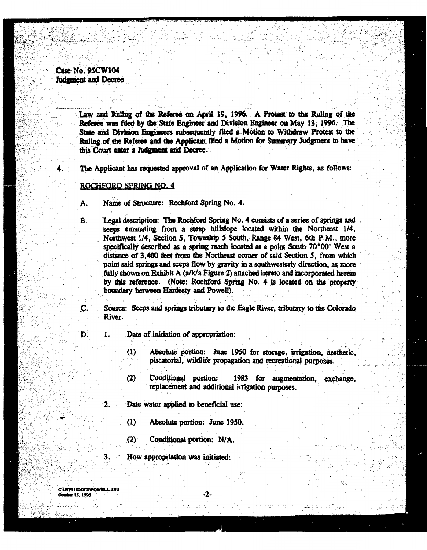Case No. 95CW104 Judgment and Decree

> Law and Ruling of the Referee on April 19, 1996. A Protest to the Ruling of the Referee was filed by the State Engineer and Division Engineer on May 13, 1996. The State and Division Engineers subsequently filed a Motion to Withdraw Protest to the Ruling of the Referee and the Applicant filed a Motion for Summary Judgment to have this Court enter a Judgment and Decree.

The Applicant has requested approval of an Application for Water Rights, as follows:

# ROCHFORD SPRING NO. 4

- Name of Structure: Rochford Spring No. 4. А.
- B. Legal description: The Rochford Spring No. 4 consists of a series of springs and seeps emanating from a steep hillslope located within the Northeast 1/4. Northwest 1/4, Section 5, Township 5 South, Range 84 West, 6th P.M., more specifically described as a spring reach located at a point South 70°00' West a distance of 3,400 feet from the Northeast corner of said Section 5, from which point said springs and seeps flow by gravity in a southwesterly direction, as more fully shown on Exhibit A (a/k/a Figure 2) attached hereto and incorporated herein by this reference. (Note: Rochford Spring No. 4 is located on the property boundary between Hardesty and Powell).

C. Source: Seeps and springs tributary to the Eagle River, tributary to the Colorado River.

D. 1.

 $2.$ 

3.

Date of initiation of appropriation:

- Absolute portion: June 1950 for storage, irrigation, aesthetic,  $(1)$ piscatorial, wildlife propagation and recreational purposes.
- Conditional portion: 1983 for augmentation, exchange,  $(2)$ replacement and additional irrigation purposes.
- Date water applied to beneficial use:
	- $(1)$ Absolute portion: June 1950.
	- Conditional portion: N/A.  $(2)$
	- How appropriation was initiated:

**C:\WPSI\DOCS\POWELL\_IRU** - IE 1006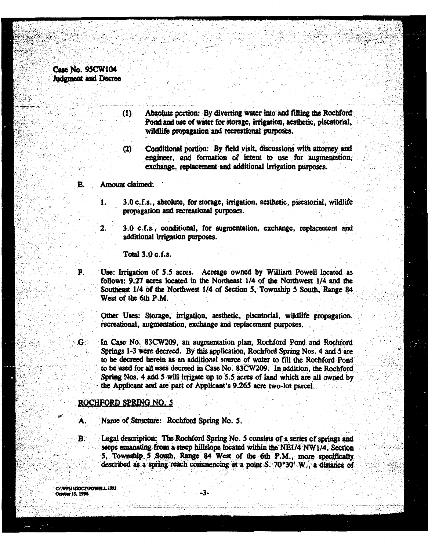# Case No. 95CW104 Judgment and Decree

Ē.

F.

- Absolute portion: By diverting water into and filling the Rochford Pond and use of water for storage, irrigation, aesthetic, piscatorial, wildlife propagation and recreational purposes.
- Conditional portion: By field visit, discussions with attorney and engineer, and formation of intent to use for augmentation, exchange, replacement and additional irrigation purposes.
- Amount claimed:

 $\mathbf{1}$ 

 $\overline{2}$ .

 $(1)$ 

 $\alpha$ 

- 3.0 c.f.s., absolute, for storage, irrigation, aesthetic, piscatorial, wildlife propagation and recreational purposes.
- 3.0 c.f.s., conditional, for augmentation, exchange, replacement and additional irrigation purposes.

Total 3.0 c.f.s.

Use: Irrigation of 5.5 acres. Acreage owned by William Powell located as follows: 9.27 acres located in the Northeast 1/4 of the Northwest 1/4 and the Southeast 1/4 of the Northwest 1/4 of Section 5, Township 5 South, Range 84 West of the 6th P.M.

Other Uses: Storage, irrigation, aesthetic, piscatorial, wildlife propagation. recreational, augmentation, exchange and replacement purposes.

In Case No. 83CW209, an augmentation plan, Rochford Pond and Rochford G. Springs 1-3 were decreed. By this application, Rochford Spring Nos. 4 and 5 are to be decreed herein as an additional source of water to fill the Rochford Pond to be used for all uses decreed in Case No. 83CW209. In addition, the Rochford Spring Nos. 4 and 5 will irrigate up to 5.5 acres of land which are all owned by the Applicant and are part of Applicant's 9.265 acre two-lot parcel.

# ROCHFORD SPRING NO. 5

Name of Structure: Rochford Spring No. 5.

B. Legal description: The Rochford Spring No. 5 consists of a series of springs and seeps emanating from a steep hillslope located within the NE1/4 NW1/4. Section 5. Township 5 South, Range 84 West of the 6th P.M., more specifically described as a spring reach commencing at a point S. 70°30' W., a distance of

CAWPLIVEOCREDWELL IRU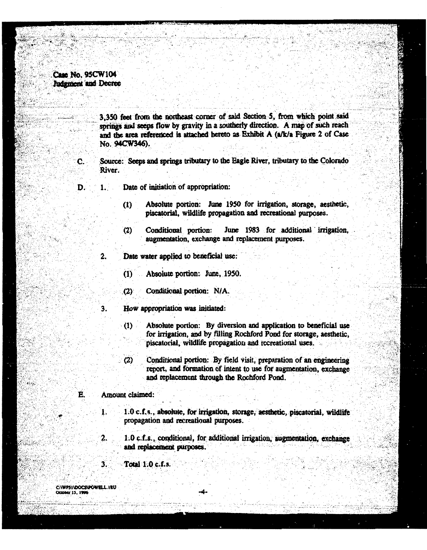# Case No. 95CW104 **Judement** and Decree

С.

3.350 feet from the northeast corner of said Section 5, from which point said springs and seeps flow by gravity in a southerly direction. A map of such reach and the area referenced is attached hereto as Exhibit A (a/k/a Figure 2 of Case No. 94CW346).

Source: Seeps and springs tributary to the Eagle River, tributary to the Colorado River.

- Date of initiation of appropriation: D.  $\mathbf 1$ 
	- Absolute portion: June 1950 for irrigation, storage, aesthetic,  $(1)$ piscatorial, wildlife propagation and recreational purposes.
	- Conditional portion: June 1983 for additional irrigation.  $(2)$ augmentation, exchange and replacement purposes.
	- Date water applied to beneficial use:  $\mathbf{2}$ 
		- $(1)$ Absolute portion: June, 1950.
		- Conditional portion: N/A.  $(2)$
		- How appropriation was initiated:
			- Absolute portion: By diversion and application to beneficial use  $(1)$ for irrigation, and by filling Rochford Pond for storage, aesthetic, piscatorial, wildlife propagation and recreational uses.
			- Conditional portion: By field visit, preparation of an engineering  $(2)$ report, and formation of intent to use for augmentation, exchange and replacement through the Rochford Pond.

#### É. Amount claimed:

Ŧ.

2.

3.

 $3.$ 

- 1.0 c.f.s., absolute, for irrigation, storage, aesthetic, piscatorial, wildlife propagation and recreational purposes.
- 1.0 c.f.s., conditional, for additional irrigation, augmentation, exchange and replacement purposes.

Total 1.0 c.f.s.

C:\WP5I\DOCS\POWELL.IRU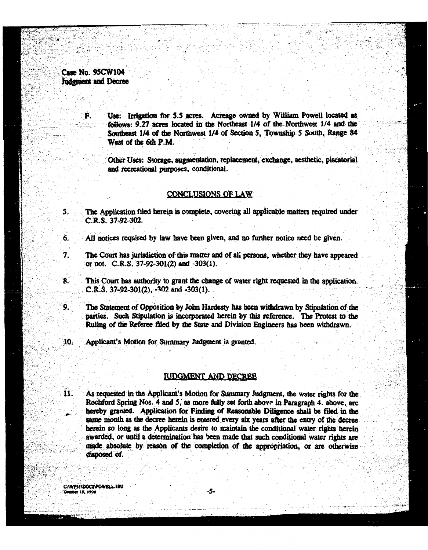Case No. 95CW104 **Judement and Decree** 

Ŕ.

5.

Use: Irrigation for 5.5 acres. Acreage owned by William Powell located as follows: 9.27 acres located in the Northeast 1/4 of the Northwest 1/4 and the Southeast 1/4 of the Northwest 1/4 of Section 5, Township 5 South, Range 84 West of the 6th P.M.

Other Uses: Storage, augmentation, replacement, exchange, aesthetic, piscatorial and recreational purposes, conditional.

# CONCLUSIONS OF LAW

The Application filed herein is complete, covering all applicable matters required under C.R.S. 37-92-302.

- All notices required by law have been given, and no further notice need be given. 6.
- $\overline{\mathbf{7}}$ . The Court has jurisdiction of this matter and of all persons, whether they have appeared or not. C.R.S. 37-92-301(2) and -303(1).
- This Court has authority to grant the change of water right requested in the application. 8. C.R.S. 37-92-301(2), -302 and -303(1).
- $9.$ The Statement of Opposition by John Hardesty has been withdrawn by Stipulation of the parties. Such Stipulation is incorporated herein by this reference. The Protest to the Ruling of the Referee filed by the State and Division Engineers has been withdrawn.
- 10. Applicant's Motion for Summary Judgment is granted.

# **JUDGMENT AND DECREE**

Ĥ. As requested in the Applicant's Motion for Summary Judgment, the water rights for the Rochford Spring Nos. 4 and 5, as more fully set forth above in Paragraph 4. above, are hereby granted. Application for Finding of Reasonable Diligence shall be filed in the same month as the decree herein is entered every six years after the entry of the decree herein so long as the Applicants desire to maintain the conditional water rights herein awarded, or until a determination has been made that such conditional water rights are made absolute by reason of the completion of the appropriation, or are otherwise disposed of.

C:\WP51\DOCS\POWELL.IRU 15, 1996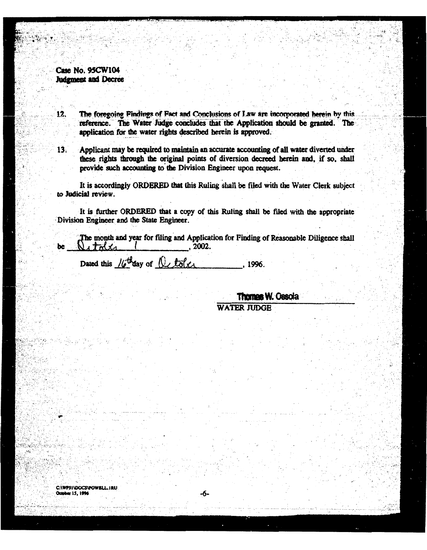Case No. 95CW104 Judgment and Decree

The foregoing Findings of Fact and Conclusions of Law are incorporated herein by this.  $12.$ reference. The Water Judge concludes that the Application should be granted. The application for the water rights described herein is approved.

 $13.$ 

Applicant may be required to maintain an accurate accounting of all water diverted under these rights through the original points of diversion decreed herein and, if so, shall provide such accounting to the Division Engineer upon request.

It is accordingly ORDERED that this Ruling shall be filed with the Water Clerk subject to Judicial review.

It is further ORDERED that a copy of this Ruling shall be filed with the appropriate Division Engineer and the State Engineer.

The month and year for filing and Application for Finding of Reasonable Diligence shall  $N_{1}$  toler  $\mathcal{I}$  $, 2002.$ 

Dated this  $16^{th}$ day of  $0$  toler .1996.

**Thomas W. Ossola** 

**WATER JUDGE** 

C:\WPSI\DOCS\POWELL\_IRU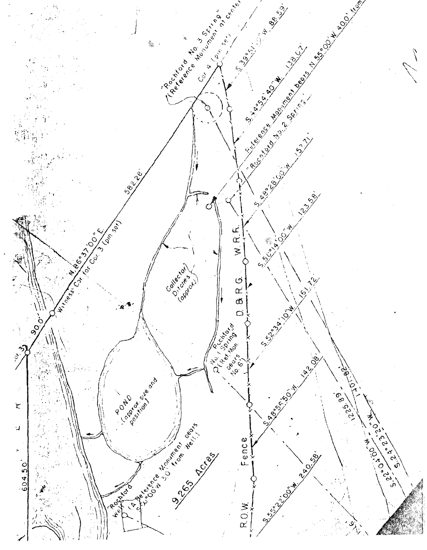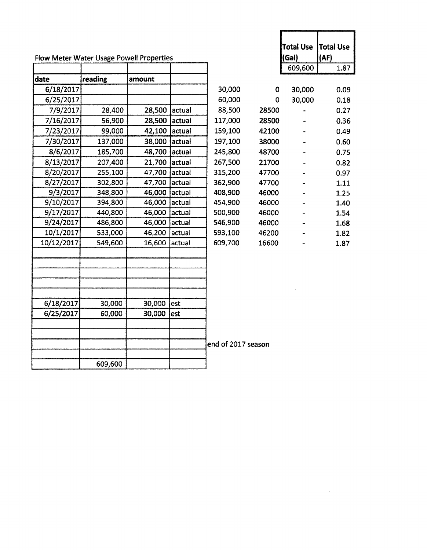| (Gal)<br>(AF)<br>Flow Meter Water Usage Powell Properties<br>609,600<br>reading<br>date<br>amount<br>6/18/2017<br>30,000<br>30,000<br>0<br>60,000<br>6/25/2017<br>30,000<br>$\Omega$<br>28,400<br>7/9/2017<br>28,500 actual<br>88,500<br>28500<br>7/16/2017<br>56,900<br>28,500 actual<br>117,000<br>28500<br>42,100 actual<br>159,100<br>7/23/2017<br>99,000<br>42100<br>7/30/2017<br>137,000<br>38,000<br>actual<br>197,100<br>38000 |  |  |  | <b>Total Use</b> | Total Use |
|----------------------------------------------------------------------------------------------------------------------------------------------------------------------------------------------------------------------------------------------------------------------------------------------------------------------------------------------------------------------------------------------------------------------------------------|--|--|--|------------------|-----------|
|                                                                                                                                                                                                                                                                                                                                                                                                                                        |  |  |  |                  |           |
|                                                                                                                                                                                                                                                                                                                                                                                                                                        |  |  |  |                  | 1.87      |
|                                                                                                                                                                                                                                                                                                                                                                                                                                        |  |  |  |                  |           |
|                                                                                                                                                                                                                                                                                                                                                                                                                                        |  |  |  |                  | 0.09      |
|                                                                                                                                                                                                                                                                                                                                                                                                                                        |  |  |  |                  | 0.18      |
|                                                                                                                                                                                                                                                                                                                                                                                                                                        |  |  |  |                  | 0.27      |
|                                                                                                                                                                                                                                                                                                                                                                                                                                        |  |  |  |                  | 0.36      |
|                                                                                                                                                                                                                                                                                                                                                                                                                                        |  |  |  |                  | 0.49      |
|                                                                                                                                                                                                                                                                                                                                                                                                                                        |  |  |  |                  | 0.60      |
| 8/6/2017<br>185,700<br>48,700<br>245,800<br>actual<br>48700                                                                                                                                                                                                                                                                                                                                                                            |  |  |  |                  | 0.75      |
| 8/13/2017<br>207,400<br>21,700<br>actual<br>267,500<br>21700                                                                                                                                                                                                                                                                                                                                                                           |  |  |  |                  | 0.82      |
| 8/20/2017<br>255,100<br>315,200<br>47,700<br>actual<br>47700                                                                                                                                                                                                                                                                                                                                                                           |  |  |  |                  | 0.97      |
| 8/27/2017<br>302,800<br>47,700<br>362,900<br>actual<br>47700                                                                                                                                                                                                                                                                                                                                                                           |  |  |  |                  | 1.11      |
| 9/3/2017<br>348,800<br>46,000<br>actual<br>408,900<br>46000                                                                                                                                                                                                                                                                                                                                                                            |  |  |  |                  | 1.25      |
| 9/10/2017<br>394,800<br>46,000<br>454,900<br>actual<br>46000                                                                                                                                                                                                                                                                                                                                                                           |  |  |  |                  | 1.40      |
| 9/17/2017<br>500,900<br>440,800<br>46,000 actual<br>46000                                                                                                                                                                                                                                                                                                                                                                              |  |  |  |                  | 1.54      |
| 9/24/2017<br>486,800<br>46,000 actual<br>546,900<br>46000                                                                                                                                                                                                                                                                                                                                                                              |  |  |  |                  | 1.68      |
| 10/1/2017<br>533,000<br>46,200<br>593,100<br>actual<br>46200                                                                                                                                                                                                                                                                                                                                                                           |  |  |  |                  | 1.82      |
| 10/12/2017<br>609,700<br>549,600<br>16,600<br>actual<br>16600                                                                                                                                                                                                                                                                                                                                                                          |  |  |  |                  | 1.87      |
|                                                                                                                                                                                                                                                                                                                                                                                                                                        |  |  |  |                  |           |
|                                                                                                                                                                                                                                                                                                                                                                                                                                        |  |  |  |                  |           |
|                                                                                                                                                                                                                                                                                                                                                                                                                                        |  |  |  |                  |           |
|                                                                                                                                                                                                                                                                                                                                                                                                                                        |  |  |  |                  |           |
|                                                                                                                                                                                                                                                                                                                                                                                                                                        |  |  |  |                  |           |
| 6/18/2017<br>30,000<br>30,000<br>lest                                                                                                                                                                                                                                                                                                                                                                                                  |  |  |  |                  |           |
| 6/25/2017<br>60,000<br>30,000<br>est                                                                                                                                                                                                                                                                                                                                                                                                   |  |  |  |                  |           |
|                                                                                                                                                                                                                                                                                                                                                                                                                                        |  |  |  |                  |           |
|                                                                                                                                                                                                                                                                                                                                                                                                                                        |  |  |  |                  |           |
| end of 2017 season                                                                                                                                                                                                                                                                                                                                                                                                                     |  |  |  |                  |           |
| 609,600                                                                                                                                                                                                                                                                                                                                                                                                                                |  |  |  |                  |           |

|         |       | Total Use Total Use<br>(Gal) | (AF) |
|---------|-------|------------------------------|------|
|         |       | 609,600                      | 1.87 |
|         |       |                              |      |
| 30,000  | 0     | 30,000                       | 0.09 |
| 60,000  | 0     | 30,000                       | 0.18 |
| 88,500  | 28500 |                              | 0.27 |
| 117,000 | 28500 |                              | 0.36 |
| 159,100 | 42100 |                              | 0.49 |